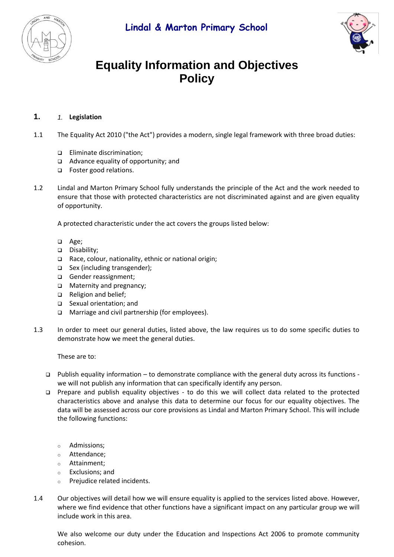

# **Equality Information and Objectives Policy**

## **1.** *1.* **Legislation**

- 1.1 The Equality Act 2010 ("the Act") provides a modern, single legal framework with three broad duties:
	- ❑ Eliminate discrimination;
	- ❑ Advance equality of opportunity; and
	- ❑ Foster good relations.
- 1.2 Lindal and Marton Primary School fully understands the principle of the Act and the work needed to ensure that those with protected characteristics are not discriminated against and are given equality of opportunity.

A protected characteristic under the act covers the groups listed below:

- ❑ Age;
- ❑ Disability;
- ❑ Race, colour, nationality, ethnic or national origin;
- ❑ Sex (including transgender);
- ❑ Gender reassignment;
- ❑ Maternity and pregnancy;
- ❑ Religion and belief;
- ❑ Sexual orientation; and
- ❑ Marriage and civil partnership (for employees).
- 1.3 In order to meet our general duties, listed above, the law requires us to do some specific duties to demonstrate how we meet the general duties.

These are to:

- ❑ Publish equality information to demonstrate compliance with the general duty across its functions we will not publish any information that can specifically identify any person.
- ❑ Prepare and publish equality objectives to do this we will collect data related to the protected characteristics above and analyse this data to determine our focus for our equality objectives. The data will be assessed across our core provisions as Lindal and Marton Primary School. This will include the following functions:
	- o Admissions;
	- o Attendance;
	- o Attainment;
	- o Exclusions; and
	- o Prejudice related incidents.
- 1.4 Our objectives will detail how we will ensure equality is applied to the services listed above. However, where we find evidence that other functions have a significant impact on any particular group we will include work in this area.

We also welcome our duty under the Education and Inspections Act 2006 to promote community cohesion.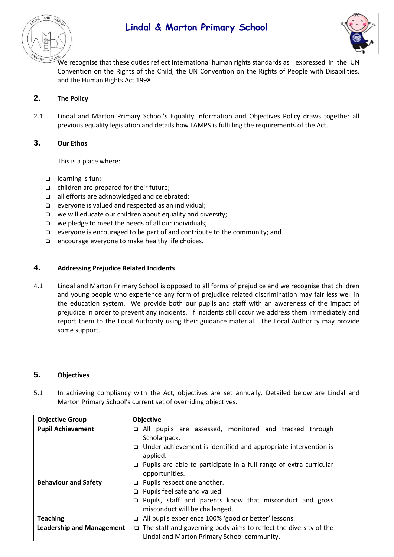



We recognise that these duties reflect international human rights standards as expressed in the UN Convention on the Rights of the Child, the UN Convention on the Rights of People with Disabilities, and the Human Rights Act 1998.

### **2. The Policy**

2.1 Lindal and Marton Primary School's Equality Information and Objectives Policy draws together all previous equality legislation and details how LAMPS is fulfilling the requirements of the Act.

### **3. Our Ethos**

This is a place where:

- ❑ learning is fun;
- ❑ children are prepared for their future;
- ❑ all efforts are acknowledged and celebrated;
- ❑ everyone is valued and respected as an individual;
- ❑ we will educate our children about equality and diversity;
- ❑ we pledge to meet the needs of all our individuals;
- ❑ everyone is encouraged to be part of and contribute to the community; and
- ❑ encourage everyone to make healthy life choices.

#### **4. Addressing Prejudice Related Incidents**

4.1 Lindal and Marton Primary School is opposed to all forms of prejudice and we recognise that children and young people who experience any form of prejudice related discrimination may fair less well in the education system. We provide both our pupils and staff with an awareness of the impact of prejudice in order to prevent any incidents. If incidents still occur we address them immediately and report them to the Local Authority using their guidance material. The Local Authority may provide some support.

#### **5. Objectives**

5.1 In achieving compliancy with the Act, objectives are set annually. Detailed below are Lindal and Marton Primary School's current set of overriding objectives.

| <b>Objective Group</b>           | <b>Objective</b>                                                                               |
|----------------------------------|------------------------------------------------------------------------------------------------|
| <b>Pupil Achievement</b>         | All pupils are assessed, monitored and tracked through<br>□<br>Scholarpack.                    |
|                                  | Under-achievement is identified and appropriate intervention is<br>□<br>applied.               |
|                                  | Pupils are able to participate in a full range of extra-curricular<br>$\Box$<br>opportunities. |
| <b>Behaviour and Safety</b>      | $\Box$ Pupils respect one another.                                                             |
|                                  | $\Box$ Pupils feel safe and valued.                                                            |
|                                  | $\Box$ Pupils, staff and parents know that misconduct and gross                                |
|                                  | misconduct will be challenged.                                                                 |
| <b>Teaching</b>                  | All pupils experience 100% 'good or better' lessons.                                           |
| <b>Leadership and Management</b> | The staff and governing body aims to reflect the diversity of the<br>□                         |
|                                  | Lindal and Marton Primary School community.                                                    |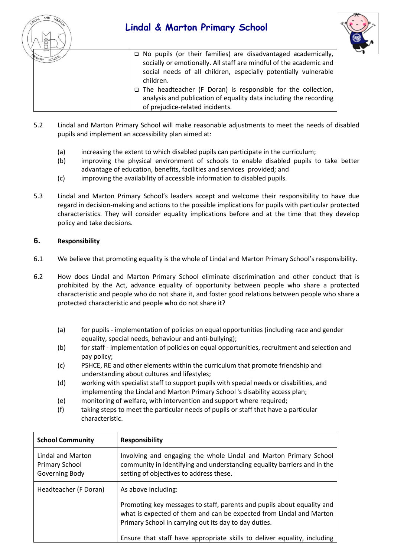



❑ No pupils (or their families) are disadvantaged academically, socially or emotionally. All staff are mindful of the academic and social needs of all children, especially potentially vulnerable children.

- ❑ The headteacher (F Doran) is responsible for the collection, analysis and publication of equality data including the recording of prejudice-related incidents.
- 5.2 Lindal and Marton Primary School will make reasonable adjustments to meet the needs of disabled pupils and implement an accessibility plan aimed at:
	- (a) increasing the extent to which disabled pupils can participate in the curriculum;
	- (b) improving the physical environment of schools to enable disabled pupils to take better advantage of education, benefits, facilities and services provided; and
	- (c) improving the availability of accessible information to disabled pupils.
- 5.3 Lindal and Marton Primary School's leaders accept and welcome their responsibility to have due regard in decision-making and actions to the possible implications for pupils with particular protected characteristics. They will consider equality implications before and at the time that they develop policy and take decisions.

## **6. Responsibility**

- 6.1 We believe that promoting equality is the whole of Lindal and Marton Primary School's responsibility.
- 6.2 How does Lindal and Marton Primary School eliminate discrimination and other conduct that is prohibited by the Act, advance equality of opportunity between people who share a protected characteristic and people who do not share it, and foster good relations between people who share a protected characteristic and people who do not share it?
	- (a) for pupils implementation of policies on equal opportunities (including race and gender equality, special needs, behaviour and anti-bullying);
	- (b) for staff implementation of policies on equal opportunities, recruitment and selection and pay policy;
	- (c) PSHCE, RE and other elements within the curriculum that promote friendship and understanding about cultures and lifestyles;
	- (d) working with specialist staff to support pupils with special needs or disabilities, and implementing the Lindal and Marton Primary School 's disability access plan;
	- (e) monitoring of welfare, with intervention and support where required;
	- (f) taking steps to meet the particular needs of pupils or staff that have a particular characteristic.

| <b>School Community</b>                                      | <b>Responsibility</b>                                                                                                                                                                                                         |
|--------------------------------------------------------------|-------------------------------------------------------------------------------------------------------------------------------------------------------------------------------------------------------------------------------|
| Lindal and Marton<br><b>Primary School</b><br>Governing Body | Involving and engaging the whole Lindal and Marton Primary School<br>community in identifying and understanding equality barriers and in the<br>setting of objectives to address these.                                       |
| Headteacher (F Doran)                                        | As above including:<br>Promoting key messages to staff, parents and pupils about equality and<br>what is expected of them and can be expected from Lindal and Marton<br>Primary School in carrying out its day to day duties. |
|                                                              | Ensure that staff have appropriate skills to deliver equality, including                                                                                                                                                      |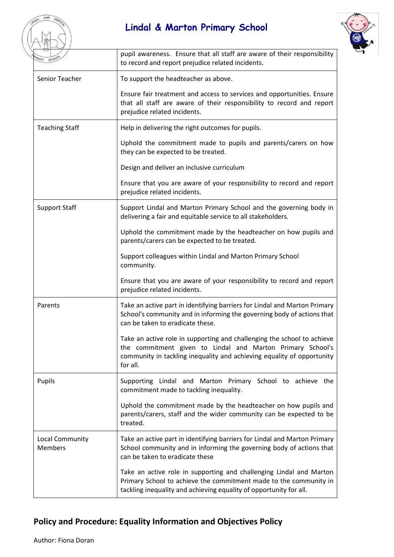

| MARY SCHO                         | pupil awareness. Ensure that all staff are aware of their responsibility<br>to record and report prejudice related incidents.                                                                                               |
|-----------------------------------|-----------------------------------------------------------------------------------------------------------------------------------------------------------------------------------------------------------------------------|
| Senior Teacher                    | To support the headteacher as above.                                                                                                                                                                                        |
|                                   | Ensure fair treatment and access to services and opportunities. Ensure<br>that all staff are aware of their responsibility to record and report<br>prejudice related incidents.                                             |
| <b>Teaching Staff</b>             | Help in delivering the right outcomes for pupils.                                                                                                                                                                           |
|                                   | Uphold the commitment made to pupils and parents/carers on how<br>they can be expected to be treated.                                                                                                                       |
|                                   | Design and deliver an inclusive curriculum                                                                                                                                                                                  |
|                                   | Ensure that you are aware of your responsibility to record and report<br>prejudice related incidents.                                                                                                                       |
| <b>Support Staff</b>              | Support Lindal and Marton Primary School and the governing body in<br>delivering a fair and equitable service to all stakeholders.                                                                                          |
|                                   | Uphold the commitment made by the headteacher on how pupils and<br>parents/carers can be expected to be treated.                                                                                                            |
|                                   | Support colleagues within Lindal and Marton Primary School<br>community.                                                                                                                                                    |
|                                   | Ensure that you are aware of your responsibility to record and report<br>prejudice related incidents.                                                                                                                       |
| Parents                           | Take an active part in identifying barriers for Lindal and Marton Primary<br>School's community and in informing the governing body of actions that<br>can be taken to eradicate these.                                     |
|                                   | Take an active role in supporting and challenging the school to achieve<br>the commitment given to Lindal and Marton Primary School's<br>community in tackling inequality and achieving equality of opportunity<br>for all. |
| Pupils                            | Supporting Lindal and Marton Primary School to achieve the<br>commitment made to tackling inequality.                                                                                                                       |
|                                   | Uphold the commitment made by the headteacher on how pupils and<br>parents/carers, staff and the wider community can be expected to be<br>treated.                                                                          |
| Local Community<br><b>Members</b> | Take an active part in identifying barriers for Lindal and Marton Primary<br>School community and in informing the governing body of actions that<br>can be taken to eradicate these                                        |
|                                   | Take an active role in supporting and challenging Lindal and Marton<br>Primary School to achieve the commitment made to the community in<br>tackling inequality and achieving equality of opportunity for all.              |

## **Policy and Procedure: Equality Information and Objectives Policy**

AND